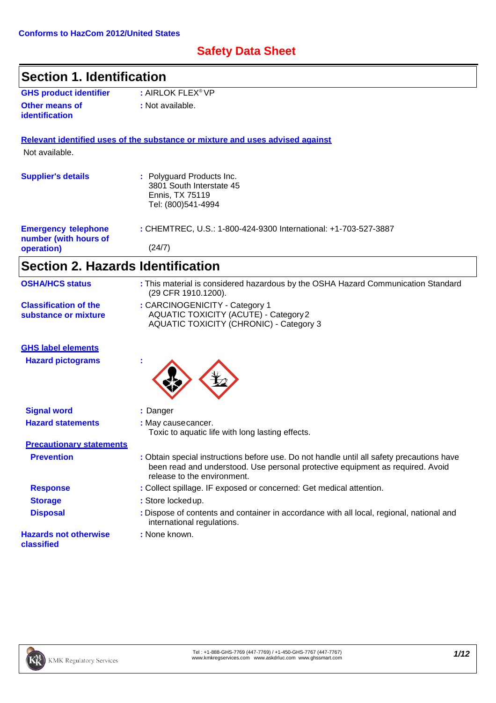# **Safety Data Sheet**

| <b>Section 1. Identification</b>                     |                                                                                                                                                                                                            |
|------------------------------------------------------|------------------------------------------------------------------------------------------------------------------------------------------------------------------------------------------------------------|
| <b>GHS product identifier</b>                        | : AIRLOK FLEX <sup>®</sup> VP                                                                                                                                                                              |
| Other means of<br>identification                     | : Not available.                                                                                                                                                                                           |
|                                                      | Relevant identified uses of the substance or mixture and uses advised against                                                                                                                              |
| Not available.                                       |                                                                                                                                                                                                            |
| <b>Supplier's details</b>                            | : Polyguard Products Inc.<br>3801 South Interstate 45<br>Ennis, TX 75119<br>Tel: (800)541-4994                                                                                                             |
| <b>Emergency telephone</b><br>number (with hours of  | : CHEMTREC, U.S.: 1-800-424-9300 International: +1-703-527-3887                                                                                                                                            |
| operation)                                           | (24/7)                                                                                                                                                                                                     |
| <b>Section 2. Hazards Identification</b>             |                                                                                                                                                                                                            |
| <b>OSHA/HCS status</b>                               | : This material is considered hazardous by the OSHA Hazard Communication Standard<br>(29 CFR 1910.1200).                                                                                                   |
| <b>Classification of the</b><br>substance or mixture | : CARCINOGENICITY - Category 1<br><b>AQUATIC TOXICITY (ACUTE) - Category 2</b><br><b>AQUATIC TOXICITY (CHRONIC) - Category 3</b>                                                                           |
| <b>GHS label elements</b>                            |                                                                                                                                                                                                            |
| <b>Hazard pictograms</b>                             |                                                                                                                                                                                                            |
| <b>Signal word</b>                                   | : Danger                                                                                                                                                                                                   |
| <b>Hazard statements</b>                             | : May causecancer.<br>Toxic to aquatic life with long lasting effects.                                                                                                                                     |
| <b>Precautionary statements</b>                      |                                                                                                                                                                                                            |
| <b>Prevention</b>                                    | : Obtain special instructions before use. Do not handle until all safety precautions have<br>been read and understood. Use personal protective equipment as required. Avoid<br>release to the environment. |
| <b>Response</b>                                      | : Collect spillage. IF exposed or concerned: Get medical attention.                                                                                                                                        |
| <b>Storage</b>                                       | : Store lockedup.                                                                                                                                                                                          |
| <b>Disposal</b>                                      | : Dispose of contents and container in accordance with all local, regional, national and<br>international regulations.                                                                                     |
| <b>Hazards not otherwise</b><br>classified           | : None known.                                                                                                                                                                                              |

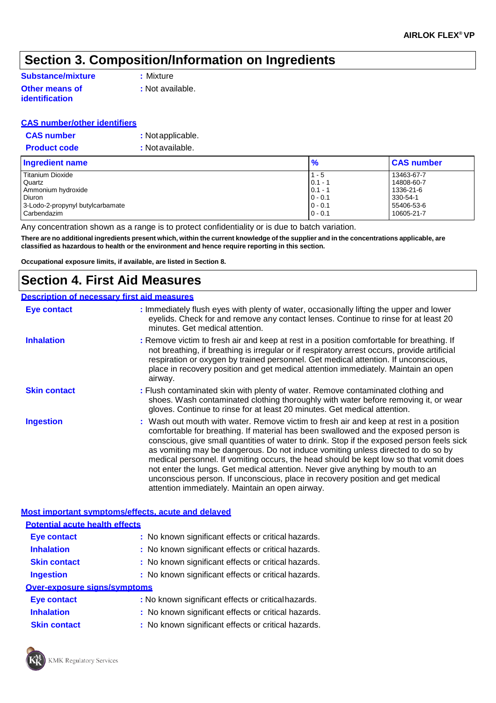# **Section 3. Composition/Information on Ingredients**

### **Substance/mixture :** Mixture **Other means of**

**identification**

**:** Not available.

### **CAS number/other identifiers**

| <b>CAS number</b>   | : Not applicable. |
|---------------------|-------------------|
| <b>Product code</b> | : Not available.  |

| <b>Ingredient name</b>           | $\frac{9}{6}$ | <b>CAS number</b> |
|----------------------------------|---------------|-------------------|
| <b>Titanium Dioxide</b>          | $1 - 5$       | 13463-67-7        |
| Quartz                           | $0.1 - ?$     | 14808-60-7        |
| Ammonium hydroxide               | $0.1 - 7$     | 1336-21-6         |
| Diuron                           | $0 - 0.1$     | 330-54-1          |
| 3-Lodo-2-propynyl butylcarbamate | $0 - 0.1$     | 55406-53-6        |
| l Carbendazim                    | $0 - 0.1$     | 10605-21-7        |

Any concentration shown as a range is to protect confidentiality or is due to batch variation.

There are no additional ingredients present which, within the current knowledge of the supplier and in the concentrations applicable, are **classified as hazardous to health or the environment and hence require reporting in this section.**

**Occupational exposure limits, if available, are listed in Section 8.**

### **Section 4. First Aid Measures**

#### **Description of necessary first aid measures Eye contact Inhalation Skin contact :** Immediately flush eyes with plenty of water, occasionally lifting the upper and lower eyelids. Check for and remove any contact lenses. Continue to rinse for at least 20 minutes. Get medical attention. **:** Remove victim to fresh air and keep at rest in a position comfortable for breathing. If not breathing, if breathing is irregular or if respiratory arrest occurs, provide artificial respiration or oxygen by trained personnel. Get medical attention. If unconscious, place in recovery position and get medical attention immediately. Maintain an open airway. **:** Flush contaminated skin with plenty of water. Remove contaminated clothing and shoes. Wash contaminated clothing thoroughly with water before removing it, or wear gloves. Continue to rinse for at least 20 minutes. Get medical attention. **Ingestion 1.8 :** Wash out mouth with water. Remove victim to fresh air and keep at rest in a position comfortable for breathing. If material has been swallowed and the exposed person is conscious, give small quantities of water to drink. Stop if the exposed person feels sick as vomiting may be dangerous. Do not induce vomiting unless directed to do so by medical personnel. If vomiting occurs, the head should be kept low so that vomit does not enter the lungs. Get medical attention. Never give anything by mouth to an unconscious person. If unconscious, place in recovery position and get medical attention immediately. Maintain an open airway.

### **Most important symptoms/effects, acute and delayed**

| <b>Potential acute health effects</b> |                                                     |
|---------------------------------------|-----------------------------------------------------|
| <b>Eye contact</b>                    | : No known significant effects or critical hazards. |
| <b>Inhalation</b>                     | : No known significant effects or critical hazards. |
| <b>Skin contact</b>                   | : No known significant effects or critical hazards. |
| <b>Ingestion</b>                      | : No known significant effects or critical hazards. |
| <b>Over-exposure signs/symptoms</b>   |                                                     |
| <b>Eye contact</b>                    | : No known significant effects or critical hazards. |
| <b>Inhalation</b>                     | : No known significant effects or critical hazards. |

**Skin contact :** No known significant effects or critical hazards.

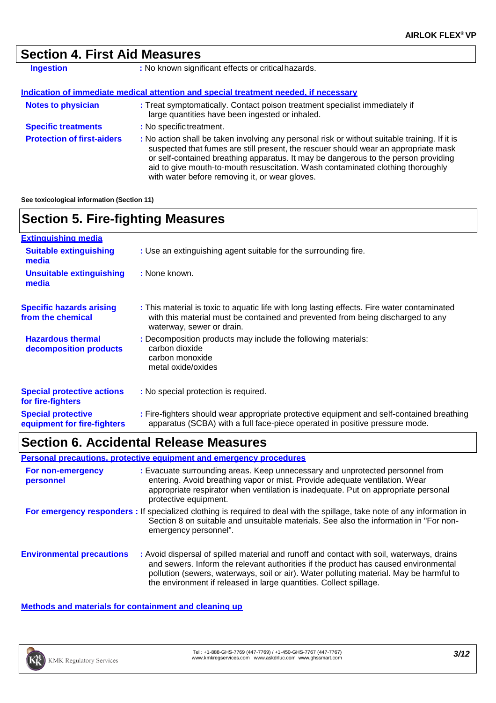# **Section 4. First Aid Measures**

| Ingestion                         | : No known significant effects or critical hazards.                                                                                                                                                                                                                                                                                                                                                             |
|-----------------------------------|-----------------------------------------------------------------------------------------------------------------------------------------------------------------------------------------------------------------------------------------------------------------------------------------------------------------------------------------------------------------------------------------------------------------|
|                                   | Indication of immediate medical attention and special treatment needed, if necessary                                                                                                                                                                                                                                                                                                                            |
| <b>Notes to physician</b>         | : Treat symptomatically. Contact poison treatment specialist immediately if<br>large quantities have been ingested or inhaled.                                                                                                                                                                                                                                                                                  |
| <b>Specific treatments</b>        | : No specific treatment.                                                                                                                                                                                                                                                                                                                                                                                        |
| <b>Protection of first-aiders</b> | : No action shall be taken involving any personal risk or without suitable training. If it is<br>suspected that fumes are still present, the rescuer should wear an appropriate mask<br>or self-contained breathing apparatus. It may be dangerous to the person providing<br>aid to give mouth-to-mouth resuscitation. Wash contaminated clothing thoroughly<br>with water before removing it, or wear gloves. |

**See toxicological information (Section 11)**

| <b>Section 5. Fire-fighting Measures</b>                 |                                                                                                                                                                                                             |  |
|----------------------------------------------------------|-------------------------------------------------------------------------------------------------------------------------------------------------------------------------------------------------------------|--|
| <b>Extinguishing media</b>                               |                                                                                                                                                                                                             |  |
| <b>Suitable extinguishing</b><br>media                   | : Use an extinguishing agent suitable for the surrounding fire.                                                                                                                                             |  |
| <b>Unsuitable extinguishing</b><br>media                 | : None known.                                                                                                                                                                                               |  |
| <b>Specific hazards arising</b><br>from the chemical     | : This material is toxic to aquatic life with long lasting effects. Fire water contaminated<br>with this material must be contained and prevented from being discharged to any<br>waterway, sewer or drain. |  |
| <b>Hazardous thermal</b><br>decomposition products       | : Decomposition products may include the following materials:<br>carbon dioxide<br>carbon monoxide<br>metal oxide/oxides                                                                                    |  |
| <b>Special protective actions</b><br>for fire-fighters   | : No special protection is required.                                                                                                                                                                        |  |
| <b>Special protective</b><br>equipment for fire-fighters | : Fire-fighters should wear appropriate protective equipment and self-contained breathing<br>apparatus (SCBA) with a full face-piece operated in positive pressure mode.                                    |  |

### **Section 6. Accidental Release Measures**

**Personal precautions, protective equipment and emergency procedures**

| For non-emergency<br>personnel   | : Evacuate surrounding areas. Keep unnecessary and unprotected personnel from<br>entering. Avoid breathing vapor or mist. Provide adequate ventilation. Wear<br>appropriate respirator when ventilation is inadequate. Put on appropriate personal<br>protective equipment.                                                                       |
|----------------------------------|---------------------------------------------------------------------------------------------------------------------------------------------------------------------------------------------------------------------------------------------------------------------------------------------------------------------------------------------------|
|                                  | For emergency responders: If specialized clothing is required to deal with the spillage, take note of any information in<br>Section 8 on suitable and unsuitable materials. See also the information in "For non-<br>emergency personnel".                                                                                                        |
| <b>Environmental precautions</b> | : Avoid dispersal of spilled material and runoff and contact with soil, waterways, drains<br>and sewers. Inform the relevant authorities if the product has caused environmental<br>pollution (sewers, waterways, soil or air). Water polluting material. May be harmful to<br>the environment if released in large quantities. Collect spillage. |

**Methods and materials for containment and cleaning up**

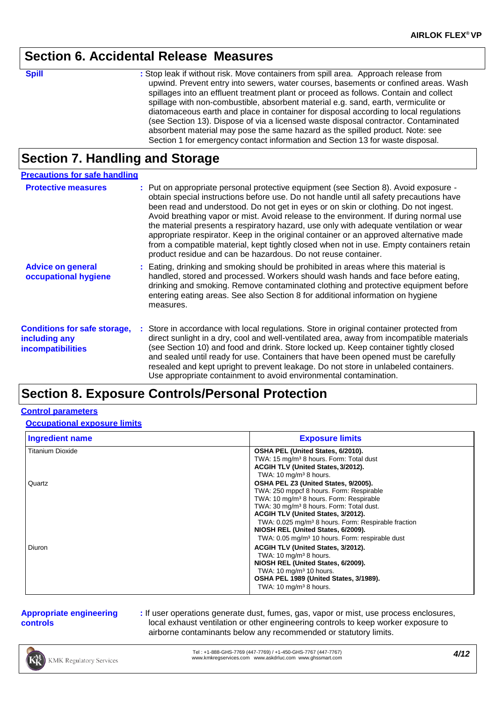### **Section 6. Accidental Release Measures**

**Spill Stop leak if without risk. Move containers from spill area. Approach release from** upwind. Prevent entry into sewers, water courses, basements or confined areas. Wash spillages into an effluent treatment plant or proceed as follows. Contain and collect spillage with non-combustible, absorbent material e.g. sand, earth, vermiculite or diatomaceous earth and place in container for disposal according to local regulations (see Section 13). Dispose of via a licensed waste disposal contractor. Contaminated absorbent material may pose the same hazard as the spilled product. Note: see Section 1 for emergency contact information and Section 13 for waste disposal.

# **Section 7. Handling and Storage**

| <b>Precautions for safe handling</b>                                             |                                                                                                                                                                                                                                                                                                                                                                                                                                                                                                                                                                                                                                                                                                                  |
|----------------------------------------------------------------------------------|------------------------------------------------------------------------------------------------------------------------------------------------------------------------------------------------------------------------------------------------------------------------------------------------------------------------------------------------------------------------------------------------------------------------------------------------------------------------------------------------------------------------------------------------------------------------------------------------------------------------------------------------------------------------------------------------------------------|
| <b>Protective measures</b>                                                       | : Put on appropriate personal protective equipment (see Section 8). Avoid exposure -<br>obtain special instructions before use. Do not handle until all safety precautions have<br>been read and understood. Do not get in eyes or on skin or clothing. Do not ingest.<br>Avoid breathing vapor or mist. Avoid release to the environment. If during normal use<br>the material presents a respiratory hazard, use only with adequate ventilation or wear<br>appropriate respirator. Keep in the original container or an approved alternative made<br>from a compatible material, kept tightly closed when not in use. Empty containers retain<br>product residue and can be hazardous. Do not reuse container. |
| <b>Advice on general</b><br>occupational hygiene                                 | : Eating, drinking and smoking should be prohibited in areas where this material is<br>handled, stored and processed. Workers should wash hands and face before eating,<br>drinking and smoking. Remove contaminated clothing and protective equipment before<br>entering eating areas. See also Section 8 for additional information on hygiene<br>measures.                                                                                                                                                                                                                                                                                                                                                    |
| <b>Conditions for safe storage,</b><br>including any<br><b>incompatibilities</b> | : Store in accordance with local regulations. Store in original container protected from<br>direct sunlight in a dry, cool and well-ventilated area, away from incompatible materials<br>(see Section 10) and food and drink. Store locked up. Keep container tightly closed<br>and sealed until ready for use. Containers that have been opened must be carefully<br>resealed and kept upright to prevent leakage. Do not store in unlabeled containers.<br>Use appropriate containment to avoid environmental contamination.                                                                                                                                                                                   |

# **Section 8. Exposure Controls/Personal Protection**

### **Control parameters**

### **Occupational exposure limits**

| <b>Ingredient name</b>  | <b>Exposure limits</b>                                                                                                                                                                                                                                                                                                                                                                                        |
|-------------------------|---------------------------------------------------------------------------------------------------------------------------------------------------------------------------------------------------------------------------------------------------------------------------------------------------------------------------------------------------------------------------------------------------------------|
| <b>Titanium Dioxide</b> | OSHA PEL (United States, 6/2010).<br>TWA: 15 mg/m <sup>3</sup> 8 hours. Form: Total dust<br>ACGIH TLV (United States, 3/2012).<br>TWA: 10 mg/m <sup>3</sup> 8 hours.                                                                                                                                                                                                                                          |
| Quartz                  | OSHA PEL Z3 (United States, 9/2005).<br>TWA: 250 mppcf 8 hours. Form: Respirable<br>TWA: 10 mg/m <sup>3</sup> 8 hours. Form: Respirable<br>TWA: 30 mg/m <sup>3</sup> 8 hours. Form: Total dust.<br>ACGIH TLV (United States, 3/2012).<br>TWA: 0.025 mg/m <sup>3</sup> 8 hours. Form: Respirable fraction<br>NIOSH REL (United States, 6/2009).<br>TWA: 0.05 mg/m <sup>3</sup> 10 hours. Form: respirable dust |
| Diuron                  | ACGIH TLV (United States, 3/2012).<br>TWA: 10 mg/m <sup>3</sup> 8 hours.<br>NIOSH REL (United States, 6/2009).<br>TWA: 10 mg/m <sup>3</sup> 10 hours.<br>OSHA PEL 1989 (United States, 3/1989).<br>TWA: $10 \text{ mg/m}^3$ 8 hours.                                                                                                                                                                          |

### **Appropriate engineering controls**

**:** If user operations generate dust, fumes, gas, vapor or mist, use process enclosures, local exhaust ventilation or other engineering controls to keep worker exposure to airborne contaminants below any recommended or statutory limits.

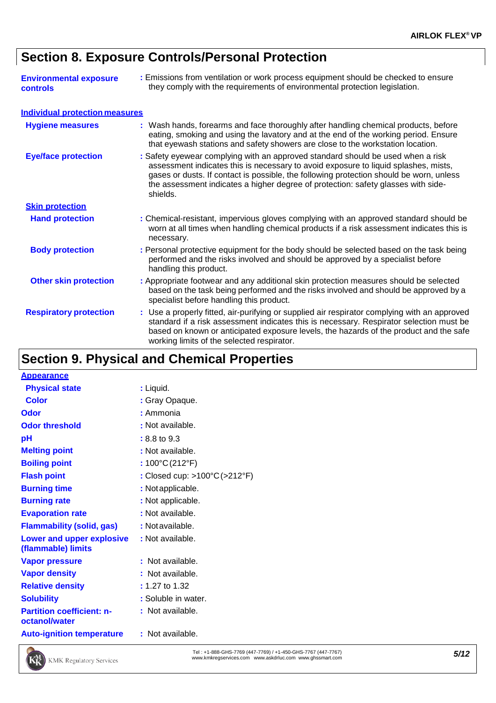# **Section 8. Exposure Controls/Personal Protection**

| <b>Environmental exposure</b><br>controls | : Emissions from ventilation or work process equipment should be checked to ensure<br>they comply with the requirements of environmental protection legislation.                                                                                                                                                                                                   |
|-------------------------------------------|--------------------------------------------------------------------------------------------------------------------------------------------------------------------------------------------------------------------------------------------------------------------------------------------------------------------------------------------------------------------|
| <b>Individual protection measures</b>     |                                                                                                                                                                                                                                                                                                                                                                    |
| <b>Hygiene measures</b>                   | : Wash hands, forearms and face thoroughly after handling chemical products, before<br>eating, smoking and using the lavatory and at the end of the working period. Ensure<br>that eyewash stations and safety showers are close to the workstation location.                                                                                                      |
| <b>Eye/face protection</b>                | : Safety eyewear complying with an approved standard should be used when a risk<br>assessment indicates this is necessary to avoid exposure to liquid splashes, mists,<br>gases or dusts. If contact is possible, the following protection should be worn, unless<br>the assessment indicates a higher degree of protection: safety glasses with side-<br>shields. |
| <b>Skin protection</b>                    |                                                                                                                                                                                                                                                                                                                                                                    |
| <b>Hand protection</b>                    | : Chemical-resistant, impervious gloves complying with an approved standard should be<br>worn at all times when handling chemical products if a risk assessment indicates this is<br>necessary.                                                                                                                                                                    |
| <b>Body protection</b>                    | : Personal protective equipment for the body should be selected based on the task being<br>performed and the risks involved and should be approved by a specialist before<br>handling this product.                                                                                                                                                                |
| <b>Other skin protection</b>              | : Appropriate footwear and any additional skin protection measures should be selected<br>based on the task being performed and the risks involved and should be approved by a<br>specialist before handling this product.                                                                                                                                          |
| <b>Respiratory protection</b>             | : Use a properly fitted, air-purifying or supplied air respirator complying with an approved<br>standard if a risk assessment indicates this is necessary. Respirator selection must be<br>based on known or anticipated exposure levels, the hazards of the product and the safe<br>working limits of the selected respirator.                                    |

# **Section 9. Physical and Chemical Properties**

| <b>Appearance</b>                                      |                                                   |
|--------------------------------------------------------|---------------------------------------------------|
| <b>Physical state</b>                                  | : Liquid.                                         |
| <b>Color</b>                                           | : Gray Opaque.                                    |
| Odor                                                   | : Ammonia                                         |
| <b>Odor threshold</b>                                  | : Not available.                                  |
| pH                                                     | : 8.8 to 9.3                                      |
| <b>Melting point</b>                                   | : Not available.                                  |
| <b>Boiling point</b>                                   | : $100^{\circ}$ C $(212^{\circ}F)$                |
| <b>Flash point</b>                                     | : Closed cup: $>100^{\circ}C$ ( $>212^{\circ}F$ ) |
| <b>Burning time</b>                                    | : Not applicable.                                 |
| <b>Burning rate</b>                                    | : Not applicable.                                 |
| <b>Evaporation rate</b>                                | : Not available.                                  |
| <b>Flammability (solid, gas)</b>                       | : Not available.                                  |
| <b>Lower and upper explosive</b><br>(flammable) limits | : Not available.                                  |
| <b>Vapor pressure</b>                                  | : Not available.                                  |
| <b>Vapor density</b>                                   | : Not available.                                  |
| <b>Relative density</b>                                | : 1.27 to 1.32                                    |
| <b>Solubility</b>                                      | : Soluble in water.                               |
| <b>Partition coefficient: n-</b><br>octanol/water      | : Not available.                                  |
| <b>Auto-ignition temperature</b>                       | : Not available.                                  |



Tel : +1-888-GHS-7769 (447-7769) / +1-450-GHS-7767 (447-7767) Tel : +1-888-GHS-7769 (447-7769) / +1-450-GHS-7767 (447-7767)<br>[www.kmkregservices.com](http://www.kmkregservices.com/) [www.askdrluc.com](http://www.askdrluc.com/) [www.ghssmart.com](http://www.ghssmart.com/)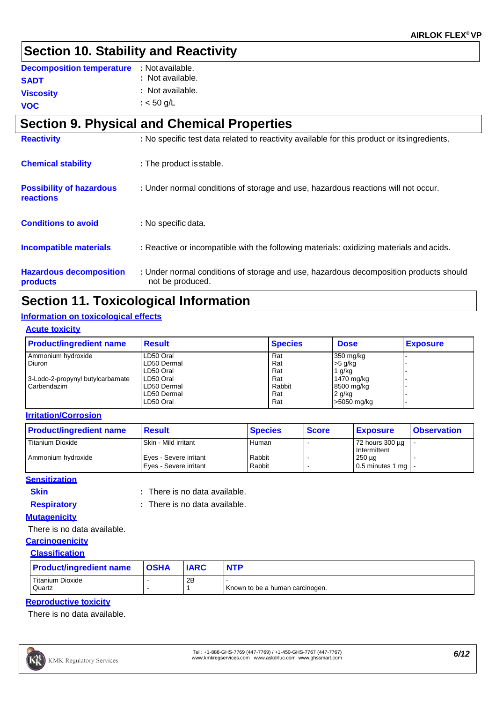# **Section 10. Stability and Reactivity**

| <b>Decomposition temperature</b> | : Not available. |
|----------------------------------|------------------|
| <b>SADT</b>                      | : Not available. |
| <b>Viscosity</b>                 | : Not available. |
| <b>VOC</b>                       | $:$ < 50 g/L     |

# **Section 9. Physical and Chemical Properties**

| <b>Reactivity</b>                            | : No specific test data related to reactivity available for this product or its ingredients.              |
|----------------------------------------------|-----------------------------------------------------------------------------------------------------------|
| <b>Chemical stability</b>                    | : The product is stable.                                                                                  |
| <b>Possibility of hazardous</b><br>reactions | : Under normal conditions of storage and use, hazardous reactions will not occur.                         |
| <b>Conditions to avoid</b>                   | : No specific data.                                                                                       |
| <b>Incompatible materials</b>                | : Reactive or incompatible with the following materials: oxidizing materials and acids.                   |
| <b>Hazardous decomposition</b><br>products   | : Under normal conditions of storage and use, hazardous decomposition products should<br>not be produced. |

# **Section 11. Toxicological Information**

### **Information on toxicological effects**

### **Acute toxicity**

| <b>Product/ingredient name</b>   | <b>Result</b> | <b>Species</b> | <b>Dose</b> | <b>Exposure</b> |
|----------------------------------|---------------|----------------|-------------|-----------------|
| Ammonium hydroxide               | LD50 Oral     | Rat            | 350 mg/kg   |                 |
| Diuron                           | LD50 Dermal   | Rat            | $>5$ g/kg   |                 |
|                                  | LD50 Oral     | Rat            | 1 $q/kg$    |                 |
| 3-Lodo-2-propynyl butylcarbamate | LD50 Oral     | Rat            | 1470 mg/kg  |                 |
| Carbendazim                      | LD50 Dermal   | Rabbit         | 8500 mg/kg  |                 |
|                                  | LD50 Dermal   | Rat            | $2$ g/kg    |                 |
|                                  | LD50 Oral     | Rat            | >5050 mg/kg |                 |

### **Irritation/Corrosion**

| <b>Product/ingredient name</b> | <b>Result</b>                                    | <b>Species</b>   | <b>Score</b> | <b>Exposure</b>                                 | <b>Observation</b> |
|--------------------------------|--------------------------------------------------|------------------|--------------|-------------------------------------------------|--------------------|
| l Titanium Dioxide             | Skin - Mild irritant                             | Human            |              | 72 hours 300 µg<br>Intermittent                 |                    |
| Ammonium hydroxide             | Eves - Severe irritant<br>Eves - Severe irritant | Rabbit<br>Rabbit |              | $250 \mu g$<br>$\vert$ 0.5 minutes 1 mg $\vert$ |                    |

### **Sensitization**

**Skin :**

: There is no data available.

**Respiratory :**

: There is no data available.

### **Mutagenicity**

There is no data available.

### **Carcinogenicity**

### **Classification**

| <b>Product/ingredient name</b> | <b>OSHA</b> | <b>IARC</b> | <b>NTP</b>                      |
|--------------------------------|-------------|-------------|---------------------------------|
| Titanium Dioxide               |             | 2B          |                                 |
| Quartz                         |             |             | Known to be a human carcinogen. |

### **Reproductive toxicity**

There is no data available.

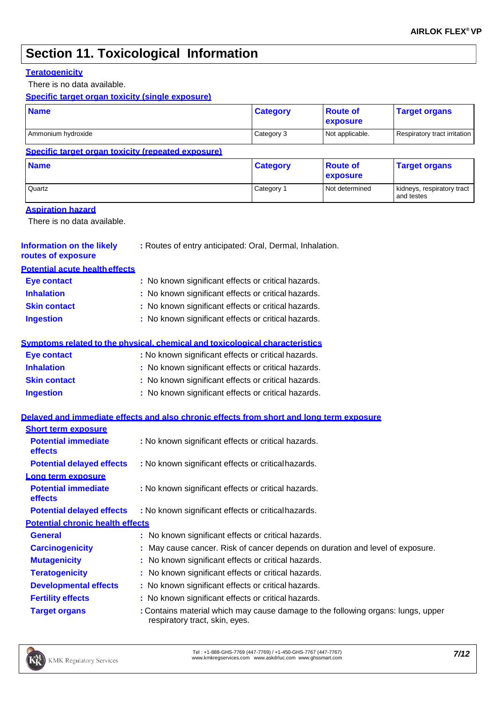# **Section 11. Toxicological Information**

### **Teratogenicity**

There is no data available.

**Specific target organ toxicity (single exposure)**

| <b>Name</b>                                                 |                                                                                          | <b>Category</b>                                     | <b>Route of</b><br>exposure | <b>Target organs</b>                     |  |  |
|-------------------------------------------------------------|------------------------------------------------------------------------------------------|-----------------------------------------------------|-----------------------------|------------------------------------------|--|--|
| Ammonium hydroxide                                          |                                                                                          | Category 3                                          | Not applicable.             | Respiratory tract irritation             |  |  |
| Specific target organ toxicity (repeated exposure)          |                                                                                          |                                                     |                             |                                          |  |  |
| <b>Name</b>                                                 |                                                                                          | <b>Category</b>                                     | <b>Route of</b><br>exposure | <b>Target organs</b>                     |  |  |
| Quartz                                                      |                                                                                          | Category 1                                          | Not determined              | kidneys, respiratory tract<br>and testes |  |  |
| <b>Aspiration hazard</b><br>There is no data available.     |                                                                                          |                                                     |                             |                                          |  |  |
| <b>Information on the likely</b><br>routes of exposure      | : Routes of entry anticipated: Oral, Dermal, Inhalation.                                 |                                                     |                             |                                          |  |  |
| <b>Potential acute health effects</b>                       |                                                                                          |                                                     |                             |                                          |  |  |
| <b>Eye contact</b>                                          | : No known significant effects or critical hazards.                                      |                                                     |                             |                                          |  |  |
| <b>Inhalation</b>                                           | : No known significant effects or critical hazards.                                      |                                                     |                             |                                          |  |  |
| <b>Skin contact</b>                                         | : No known significant effects or critical hazards.                                      |                                                     |                             |                                          |  |  |
| <b>Ingestion</b>                                            | : No known significant effects or critical hazards.                                      |                                                     |                             |                                          |  |  |
|                                                             | Symptoms related to the physical, chemical and toxicological characteristics             |                                                     |                             |                                          |  |  |
| <b>Eye contact</b>                                          | : No known significant effects or critical hazards.                                      |                                                     |                             |                                          |  |  |
| <b>Inhalation</b>                                           | : No known significant effects or critical hazards.                                      |                                                     |                             |                                          |  |  |
| <b>Skin contact</b>                                         | : No known significant effects or critical hazards.                                      |                                                     |                             |                                          |  |  |
| <b>Ingestion</b>                                            |                                                                                          | : No known significant effects or critical hazards. |                             |                                          |  |  |
|                                                             | Delayed and immediate effects and also chronic effects from short and long term exposure |                                                     |                             |                                          |  |  |
| <b>Short term exposure</b>                                  |                                                                                          |                                                     |                             |                                          |  |  |
| <b>Potential immediate</b><br>effects                       | : No known significant effects or critical hazards.                                      |                                                     |                             |                                          |  |  |
| <b>Potential delayed effects</b>                            | : No known significant effects or critical hazards.                                      |                                                     |                             |                                          |  |  |
| Long term exposure<br><b>Potential immediate</b><br>effects | : No known significant effects or critical hazards.                                      |                                                     |                             |                                          |  |  |
| <b>Potential delayed effects</b>                            | : No known significant effects or critical hazards.                                      |                                                     |                             |                                          |  |  |
| <b>Potential chronic health effects</b>                     |                                                                                          |                                                     |                             |                                          |  |  |
| <b>General</b>                                              | : No known significant effects or critical hazards.                                      |                                                     |                             |                                          |  |  |
| <b>Carcinogenicity</b>                                      | May cause cancer. Risk of cancer depends on duration and level of exposure.              |                                                     |                             |                                          |  |  |
| <b>Mutagenicity</b>                                         | : No known significant effects or critical hazards.                                      |                                                     |                             |                                          |  |  |
| <b>Teratogenicity</b>                                       | : No known significant effects or critical hazards.                                      |                                                     |                             |                                          |  |  |
| <b>Developmental effects</b>                                | : No known significant effects or critical hazards.                                      |                                                     |                             |                                          |  |  |
| <b>Fertility effects</b>                                    | : No known significant effects or critical hazards.                                      |                                                     |                             |                                          |  |  |

**Target organs :** Contains material which may cause damage to the following organs: lungs, upper respiratory tract, skin, eyes.

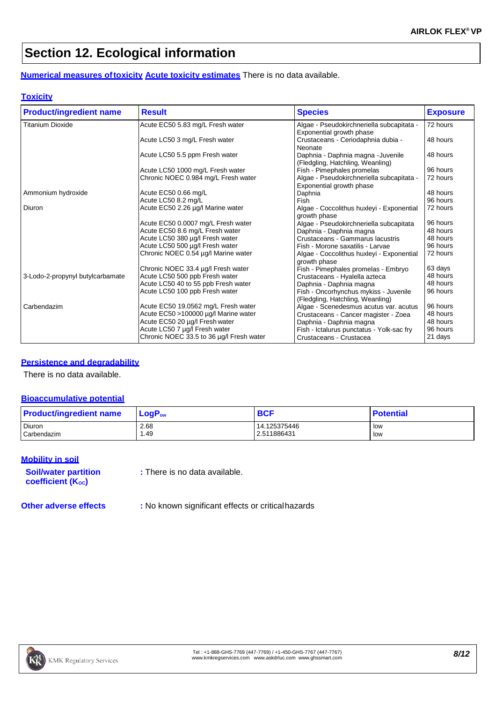# **Section 12. Ecological information**

**Numerical measures oftoxicity Acute toxicity estimates** There is no data available.

### **Toxicity**

| <b>Product/ingredient name</b>   | <b>Result</b>                            | <b>Species</b>                            | <b>Exposure</b> |
|----------------------------------|------------------------------------------|-------------------------------------------|-----------------|
| <b>Titanium Dioxide</b>          | Acute EC50 5.83 mg/L Fresh water         | Algae - Pseudokirchneriella subcapitata - | 72 hours        |
|                                  |                                          | Exponential growth phase                  |                 |
|                                  | Acute LC50 3 mg/L Fresh water            | Crustaceans - Ceriodaphnia dubia -        | 48 hours        |
|                                  |                                          | Neonate                                   |                 |
|                                  | Acute LC50 5.5 ppm Fresh water           | Daphnia - Daphnia magna - Juvenile        | 48 hours        |
|                                  |                                          | (Fledgling, Hatchling, Weanling)          |                 |
|                                  | Acute LC50 1000 mg/L Fresh water         | Fish - Pimephales promelas                | 96 hours        |
|                                  | Chronic NOEC 0.984 mg/L Fresh water      | Algae - Pseudokirchneriella subcapitata - | 72 hours        |
|                                  |                                          | Exponential growth phase                  |                 |
| Ammonium hydroxide               | Acute EC50 0.66 mg/L                     | Daphnia                                   | 48 hours        |
|                                  | Acute LC50 8.2 mg/L                      | Fish                                      | 96 hours        |
| Diuron                           | Acute EC50 2.26 µg/l Marine water        | Algae - Coccolithus huxleyi - Exponential | 72 hours        |
|                                  |                                          | growth phase                              |                 |
|                                  | Acute EC50 0.0007 mg/L Fresh water       | Algae - Pseudokirchneriella subcapitata   | 96 hours        |
|                                  | Acute EC50 8.6 mg/L Fresh water          | Daphnia - Daphnia magna                   | 48 hours        |
|                                  | Acute LC50 380 µg/l Fresh water          | Crustaceans - Gammarus lacustris          | 48 hours        |
|                                  | Acute LC50 500 µg/l Fresh water          | Fish - Morone saxatilis - Larvae          | 96 hours        |
|                                  | Chronic NOEC 0.54 µg/l Marine water      | Algae - Coccolithus huxleyi - Exponential | 72 hours        |
|                                  |                                          | growth phase                              |                 |
|                                  | Chronic NOEC 33.4 µg/l Fresh water       | Fish - Pimephales promelas - Embryo       | 63 days         |
| 3-Lodo-2-propynyl butylcarbamate | Acute LC50 500 ppb Fresh water           | Crustaceans - Hyalella azteca             | 48 hours        |
|                                  | Acute LC50 40 to 55 ppb Fresh water      | Daphnia - Daphnia magna                   | 48 hours        |
|                                  | Acute LC50 100 ppb Fresh water           | Fish - Oncorhynchus mykiss - Juvenile     | 96 hours        |
|                                  |                                          | (Fledgling, Hatchling, Weanling)          |                 |
| Carbendazim                      | Acute EC50 19.0562 mg/L Fresh water      | Algae - Scenedesmus acutus var. acutus    | 96 hours        |
|                                  | Acute EC50 >100000 µg/l Marine water     | Crustaceans - Cancer magister - Zoea      | 48 hours        |
|                                  | Acute EC50 20 µg/l Fresh water           | Daphnia - Daphnia magna                   | 48 hours        |
|                                  | Acute LC50 7 µg/l Fresh water            | Fish - Ictalurus punctatus - Yolk-sac fry | 96 hours        |
|                                  | Chronic NOEC 33.5 to 36 µg/l Fresh water | Crustaceans - Crustacea                   | 21 days         |

### **Persistence and degradability**

There is no data available.

### **Bioaccumulative potential**

| <b>Product/ingredient name</b> | $LogP_{ow}$ | <b>BCF</b>   | <b>Potential</b> |
|--------------------------------|-------------|--------------|------------------|
| <b>Diuron</b>                  | 2.68        | 14.125375446 | low              |
| Carbendazim                    | .49         | 2.511886431  | low              |

### **Mobility in soil**

| <b>Soil/water partition</b><br>coefficient (K <sub>oc</sub> ) | : There is no data available. |
|---------------------------------------------------------------|-------------------------------|
|                                                               |                               |

**Other adverse effects :** No known significant effects or criticalhazards

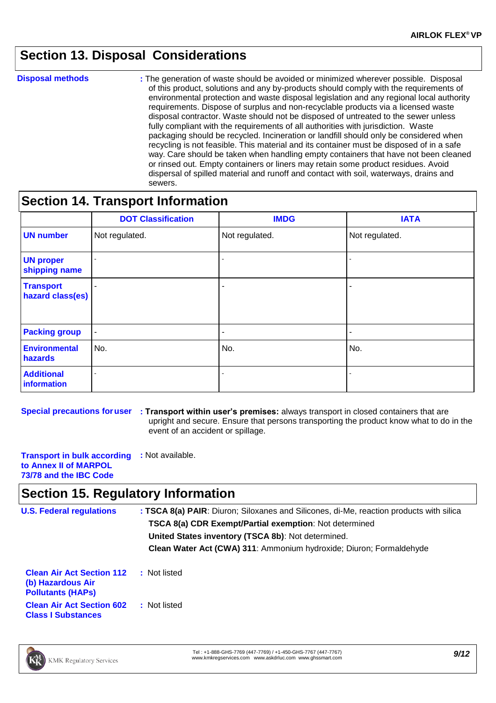# **Section 13. Disposal Considerations**

**Disposal methods : The generation of waste should be avoided or minimized wherever possible. Disposal** of this product, solutions and any by-products should comply with the requirements of environmental protection and waste disposal legislation and any regional local authority requirements. Dispose of surplus and non-recyclable products via a licensed waste disposal contractor. Waste should not be disposed of untreated to the sewer unless fully compliant with the requirements of all authorities with jurisdiction. Waste packaging should be recycled. Incineration or landfill should only be considered when recycling is not feasible. This material and its container must be disposed of in a safe way. Care should be taken when handling empty containers that have not been cleaned or rinsed out. Empty containers or liners may retain some product residues. Avoid dispersal of spilled material and runoff and contact with soil, waterways, drains and sewers.

### **Section 14. Transport Information**

|                                      | <b>DOT Classification</b> | <b>IMDG</b>    | <b>IATA</b>    |
|--------------------------------------|---------------------------|----------------|----------------|
| <b>UN number</b>                     | Not regulated.            | Not regulated. | Not regulated. |
| <b>UN proper</b><br>shipping name    |                           |                |                |
| <b>Transport</b><br>hazard class(es) |                           |                |                |
| <b>Packing group</b>                 | $\blacksquare$            |                |                |
| <b>Environmental</b><br>hazards      | No.                       | No.            | No.            |
| <b>Additional</b><br>information     |                           |                |                |

**Special precautions foruser : Transport within user's premises:** always transport in closed containers that are upright and secure. Ensure that persons transporting the product know what to do in the event of an accident or spillage.

**Transport in bulk according :** Not available. **to Annex II of MARPOL 73/78 and the IBC Code**

### **Section 15. Regulatory Information**

| <b>U.S. Federal regulations</b>                                                   | : TSCA 8(a) PAIR: Diuron; Siloxanes and Silicones, di-Me, reaction products with silica |  |  |  |
|-----------------------------------------------------------------------------------|-----------------------------------------------------------------------------------------|--|--|--|
|                                                                                   | TSCA 8(a) CDR Exempt/Partial exemption: Not determined                                  |  |  |  |
|                                                                                   | United States inventory (TSCA 8b): Not determined.                                      |  |  |  |
|                                                                                   | Clean Water Act (CWA) 311: Ammonium hydroxide; Diuron; Formaldehyde                     |  |  |  |
| <b>Clean Air Act Section 112</b><br>(b) Hazardous Air<br><b>Pollutants (HAPS)</b> | : Not listed                                                                            |  |  |  |
| <b>Clean Air Act Section 602</b><br><b>Class I Substances</b>                     | : Not listed                                                                            |  |  |  |



Tel : +1-888-GHS-7769 (447-7769) / +1-450-GHS-7767 (447-7767) Tel : +1-888-GHS-7769 (447-7769) / +1-450-GHS-7767 (447-7767)<br>[www.kmkregservices.com](http://www.kmkregservices.com/) [www.askdrluc.com](http://www.askdrluc.com/) [www.ghssmart.com](http://www.ghssmart.com/)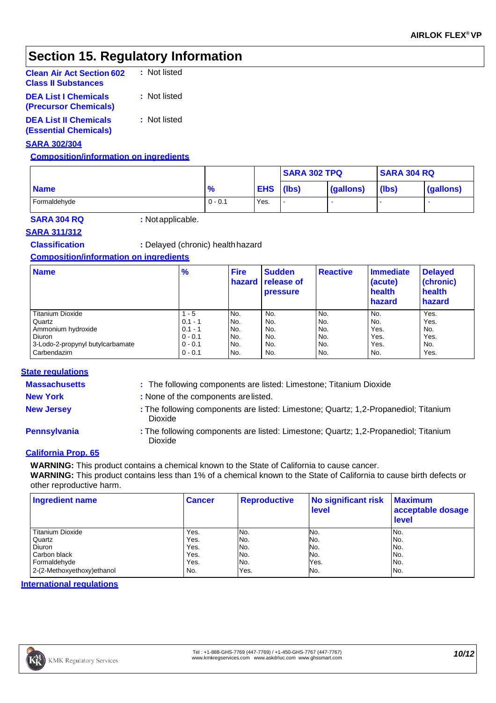# **Section 15. Regulatory Information**

| <b>Clean Air Act Section 602</b><br><b>Class II Substances</b> | : Not listed |
|----------------------------------------------------------------|--------------|
| <b>DEA List I Chemicals</b><br>(Precursor Chemicals)           | : Not listed |
| <b>DEA List II Chemicals</b><br><b>(Essential Chemicals)</b>   | : Not listed |

### **SARA 302/304**

### **Composition/information on ingredients**

|              |               |            | <b>SARA 302 TPQ</b> |           | <b>SARA 304 RQ</b> |           |
|--------------|---------------|------------|---------------------|-----------|--------------------|-----------|
| <b>Name</b>  | $\frac{9}{6}$ | <b>EHS</b> | (lbs)               | (gallons) | (lbs)              | (gallons) |
| Formaldehyde | $0 - 0.1$     | Yes.       |                     |           |                    |           |

**SARA 304 RQ :** Notapplicable.

### **SARA 311/312**

**Classification :** Delayed (chronic) health hazard

### **Composition/information on ingredients**

| <b>Name</b>                      | $\frac{9}{6}$ | <b>Fire</b> | <b>Sudden</b><br>hazard release of<br><b>pressure</b> | <b>Reactive</b> | Immediate<br>(acute)<br>health<br>hazard | <b>Delayed</b><br>(chronic)<br>health<br>hazard |
|----------------------------------|---------------|-------------|-------------------------------------------------------|-----------------|------------------------------------------|-------------------------------------------------|
| <b>Titanium Dioxide</b>          | $1 - 5$       | No.         | No.                                                   | No.             | No.                                      | Yes.                                            |
| Quartz                           | $0.1 - 1$     | No.         | No.                                                   | No.             | No.                                      | Yes.                                            |
| Ammonium hydroxide               | $0.1 - 1$     | No.         | No.                                                   | No.             | Yes.                                     | No.                                             |
| Diuron                           | $0 - 0.1$     | No.         | No.                                                   | No.             | Yes.                                     | Yes.                                            |
| 3-Lodo-2-propynyl butylcarbamate | $0 - 0.1$     | No.         | No.                                                   | No.             | Yes.                                     | No.                                             |
| Carbendazim                      | $0 - 0.1$     | No.         | No.                                                   | No.             | No.                                      | Yes.                                            |

### **State regulations**

- **Massachusetts :** The following components are listed: Limestone; Titanium Dioxide
- 
- **New York :** None of the components arelisted.
- 
- 
- **New Jersey :** The following components are listed: Limestone; Quartz; 1,2-Propanediol; Titanium Dioxide
- **Pennsylvania :** The following components are listed: Limestone; Quartz; 1,2-Propanediol; Titanium Dioxide

### **California Prop. 65**

**WARNING:** This product contains a chemical known to the State of California to cause cancer.

**WARNING:** This product contains less than 1% of a chemical known to the State of California to cause birth defects or other reproductive harm.

| <b>Ingredient name</b>      | <b>Cancer</b> | <b>Reproductive</b> | No significant risk<br>level | <b>Maximum</b><br>acceptable dosage<br><b>level</b> |
|-----------------------------|---------------|---------------------|------------------------------|-----------------------------------------------------|
| <b>Titanium Dioxide</b>     | Yes.          | No.                 | No.                          | No.                                                 |
| Quartz                      | Yes.          | No.                 | No.                          | No.                                                 |
| Diuron                      | Yes.          | No.                 | No.                          | No.                                                 |
| Carbon black                | Yes.          | No.                 | No.                          | IN <sub>o</sub>                                     |
| Formaldehyde                | Yes.          | No.                 | Yes.                         | No.                                                 |
| 2-(2-Methoxyethoxy) ethanol | No.           | Yes.                | No.                          | No.                                                 |

### **International regulations**

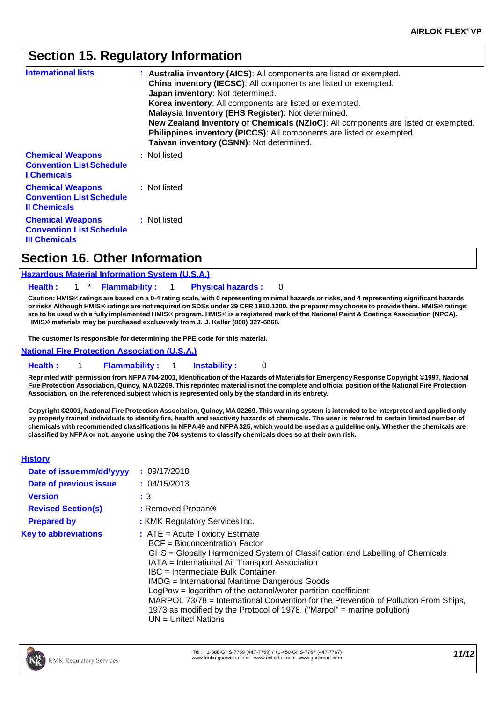# **Section 15. Regulatory Information**

| <b>International lists</b>                                                         | : Australia inventory (AICS): All components are listed or exempted.<br>China inventory (IECSC): All components are listed or exempted.<br>Japan inventory: Not determined.<br>Korea inventory: All components are listed or exempted.<br>Malaysia Inventory (EHS Register): Not determined.<br>New Zealand Inventory of Chemicals (NZIoC): All components are listed or exempted.<br>Philippines inventory (PICCS): All components are listed or exempted.<br>Taiwan inventory (CSNN): Not determined. |
|------------------------------------------------------------------------------------|---------------------------------------------------------------------------------------------------------------------------------------------------------------------------------------------------------------------------------------------------------------------------------------------------------------------------------------------------------------------------------------------------------------------------------------------------------------------------------------------------------|
| <b>Chemical Weapons</b><br><b>Convention List Schedule</b><br><b>I</b> Chemicals   | : Not listed                                                                                                                                                                                                                                                                                                                                                                                                                                                                                            |
| <b>Chemical Weapons</b><br><b>Convention List Schedule</b><br><b>Il Chemicals</b>  | : Not listed                                                                                                                                                                                                                                                                                                                                                                                                                                                                                            |
| <b>Chemical Weapons</b><br><b>Convention List Schedule</b><br><b>III Chemicals</b> | : Not listed                                                                                                                                                                                                                                                                                                                                                                                                                                                                                            |

## **Section 16. Other Information**

### **Hazardous Material Information System (U.S.A.)**

#### **Health :** 1 \* **Flammability :** 1 **Physical hazards :** 0

Caution: HMIS® ratings are based on a 0-4 rating scale, with 0 representing minimal hazards or risks, and 4 representing significant hazards or risks Although HMIS® ratings are not required on SDSs under 29 CFR 1910.1200, the preparer may choose to provide them. HMIS® ratings are to be used with a fully implemented HMIS® program. HMIS® is a registered mark of the National Paint & Coatings Association (NPCA). **HMIS® materials may be purchased exclusively from J. J. Keller (800) 327-6868.**

**The customer is responsible for determining the PPE code for this material.**

**National Fire Protection Association (U.S.A.)**

### **Health :** 1 **Flammability :** 1 **Instability :** 0

Reprinted with permission from NFPA 704-2001, Identification of the Hazards of Materials for Emergency Response Copyright ©1997, National Fire Protection Association, Quincy, MA 02269. This reprinted material is not the complete and official position of the National Fire Protection **Association, on the referenced subject which is represented only by the standard in its entirety.**

Copyright @2001, National Fire Protection Association, Quincy, MA 02269. This warning system is intended to be interpreted and applied only **by properly trained individuals to identify fire, health and reactivity hazards of chemicals. The user is referred to certain limited number of**  chemicals with recommended classifications in NFPA 49 and NFPA 325, which would be used as a guideline only. Whether the chemicals are classified by NFPA or not, anyone using the 704 systems to classify chemicals does so at their own risk.

### **History**

| Date of issue mm/dd/yyyy    | : 09/17/2018                                                                                                                                                                                                                                                                                                                                                                                                                                                                                                                                                     |
|-----------------------------|------------------------------------------------------------------------------------------------------------------------------------------------------------------------------------------------------------------------------------------------------------------------------------------------------------------------------------------------------------------------------------------------------------------------------------------------------------------------------------------------------------------------------------------------------------------|
| Date of previous issue      | : 04/15/2013                                                                                                                                                                                                                                                                                                                                                                                                                                                                                                                                                     |
| <b>Version</b>              | :3                                                                                                                                                                                                                                                                                                                                                                                                                                                                                                                                                               |
| <b>Revised Section(s)</b>   | : Removed Proban®                                                                                                                                                                                                                                                                                                                                                                                                                                                                                                                                                |
| <b>Prepared by</b>          | : KMK Regulatory Services Inc.                                                                                                                                                                                                                                                                                                                                                                                                                                                                                                                                   |
| <b>Key to abbreviations</b> | $:$ ATE = Acute Toxicity Estimate<br>$BCF = Bioconcentration Factor$<br>GHS = Globally Harmonized System of Classification and Labelling of Chemicals<br>IATA = International Air Transport Association<br>IBC = Intermediate Bulk Container<br><b>IMDG</b> = International Maritime Dangerous Goods<br>LogPow = logarithm of the octanol/water partition coefficient<br>MARPOL 73/78 = International Convention for the Prevention of Pollution From Ships,<br>1973 as modified by the Protocol of 1978. ("Marpol" = marine pollution)<br>$UN = United Nations$ |